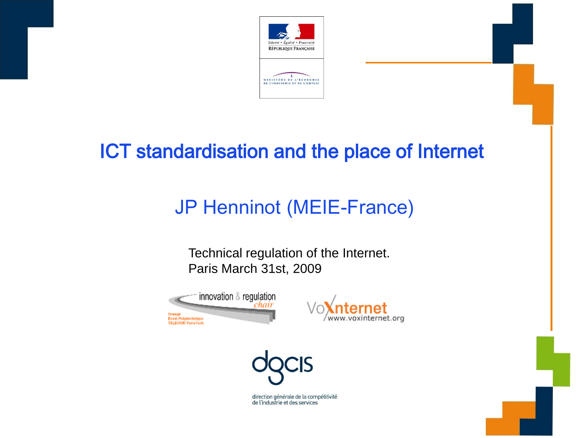

# ICT standardisation and the place of Internet

# JP Henninot (MEIE-France)

Technical regulation of the Internet. Paris March 31st, 2009





direction générale de la compétitivité de l'industrie et des services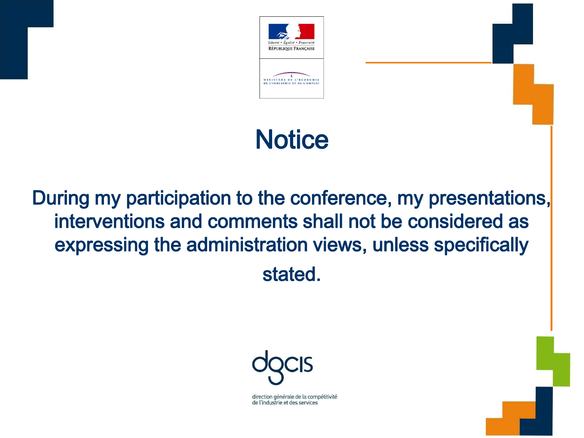

# **Notice**

# During my participation to the conference, my presentations, interventions and comments shall not be considered as expressing the administration views, unless specifically stated.



direction générale de la compétitivité de l'industrie et des services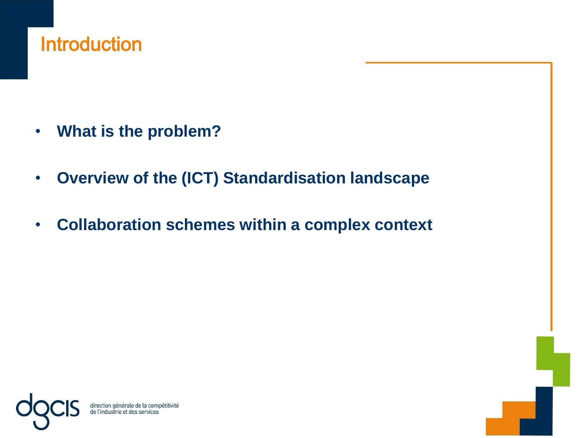# **Introduction**

- **What is the problem?**
- **Overview of the (ICT) Standardisation landscape**
- **Collaboration schemes within a complex context**

direction générale de la com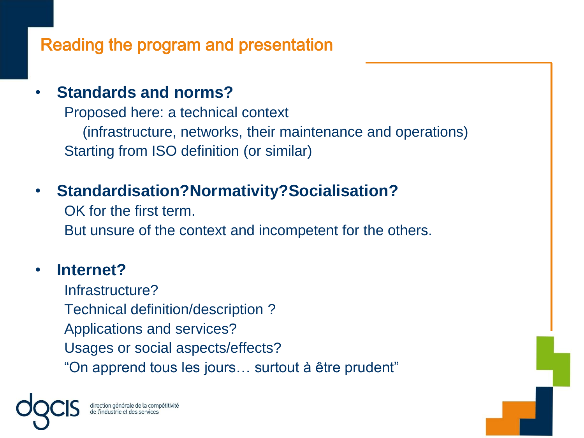## Reading the program and presentation

### • **Standards and norms?**

Proposed here: a technical context (infrastructure, networks, their maintenance and operations) Starting from ISO definition (or similar)

### • **Standardisation?Normativity?Socialisation?**

OK for the first term. But unsure of the context and incompetent for the others.

#### • **Internet?**

Infrastructure? Technical definition/description ? Applications and services? Usages or social aspects/effects? "On apprend tous les jours… surtout à être prudent"

irection générale de l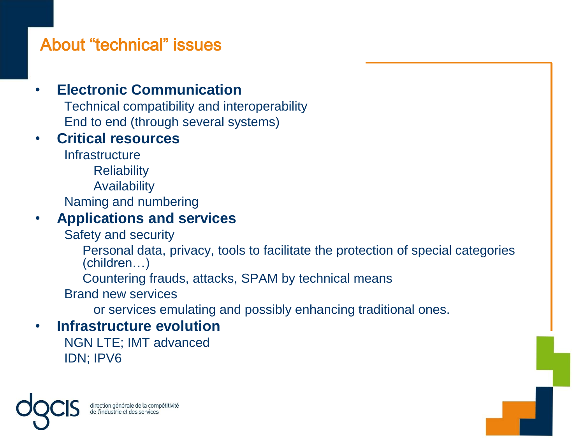## About "technical" issues

### • **Electronic Communication**

Technical compatibility and interoperability End to end (through several systems)

#### • **Critical resources**

**Infrastructure** 

**Reliability** 

Availability

Naming and numbering

#### • **Applications and services**

Safety and security

Personal data, privacy, tools to facilitate the protection of special categories (children…)

Countering frauds, attacks, SPAM by technical means

Brand new services

or services emulating and possibly enhancing traditional ones.

#### • **Infrastructure evolution**

NGN LTE; IMT advanced IDN; IPV6

direction générale de la compétitivité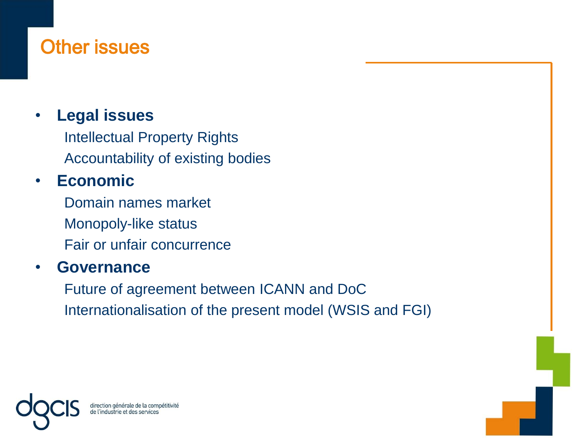# Other issues

### • **Legal issues**

Intellectual Property Rights Accountability of existing bodies

### • **Economic**

Domain names market Monopoly-like status Fair or unfair concurrence

#### • **Governance**

Future of agreement between ICANN and DoC Internationalisation of the present model (WSIS and FGI)

direction générale de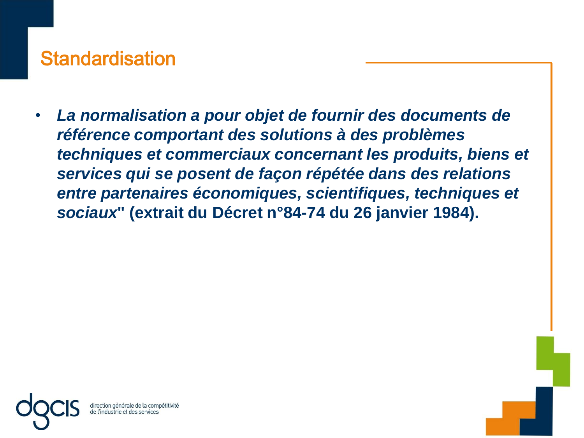# **Standardisation**

• *La normalisation a pour objet de fournir des documents de référence comportant des solutions à des problèmes techniques et commerciaux concernant les produits, biens et services qui se posent de façon répétée dans des relations entre partenaires économiques, scientifiques, techniques et sociaux***" (extrait du Décret n°84-74 du 26 janvier 1984).**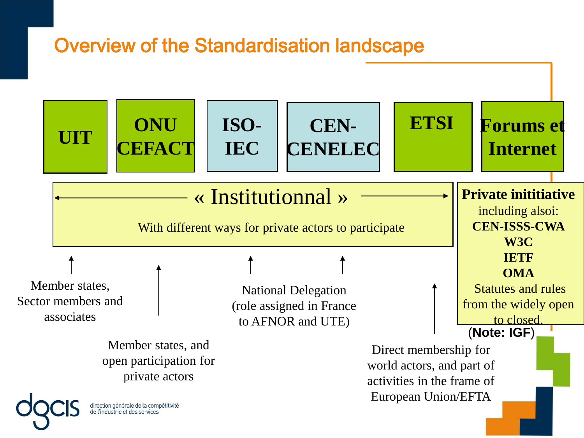# Overview of the Standardisation landscape

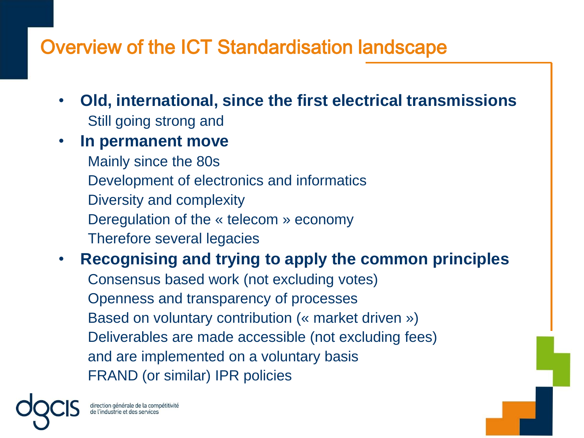# Overview of the ICT Standardisation landscape

- **Old, international, since the first electrical transmissions** Still going strong and
- **In permanent move**

Mainly since the 80s Development of electronics and informatics Diversity and complexity Deregulation of the « telecom » economy Therefore several legacies

• **Recognising and trying to apply the common principles** Consensus based work (not excluding votes) Openness and transparency of processes Based on voluntary contribution (« market driven ») Deliverables are made accessible (not excluding fees) and are implemented on a voluntary basis FRAND (or similar) IPR policies

direction générale de la compétitivité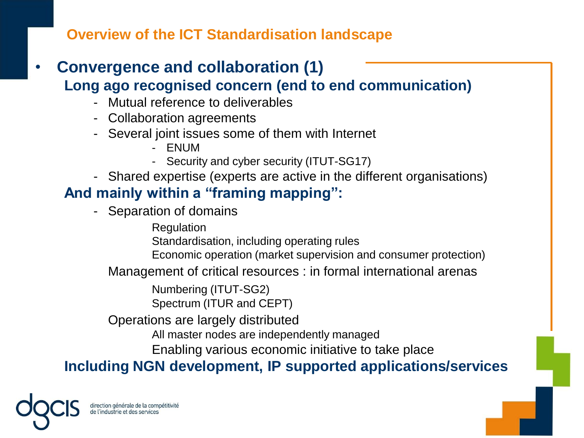**Overview of the ICT Standardisation landscape**

- **Convergence and collaboration (1) Long ago recognised concern (end to end communication)**
	- Mutual reference to deliverables
	- Collaboration agreements
	- Several joint issues some of them with Internet
		- ENUM
		- Security and cyber security (ITUT-SG17)
	- Shared expertise (experts are active in the different organisations)

### **And mainly within a "framing mapping":**

- Separation of domains

Regulation

Standardisation, including operating rules

Economic operation (market supervision and consumer protection)

Management of critical resources : in formal international arenas

Numbering (ITUT-SG2)

Spectrum (ITUR and CEPT)

Operations are largely distributed

All master nodes are independently managed

Enabling various economic initiative to take place

**Including NGN development, IP supported applications/services** 

irection générale de la compétitivité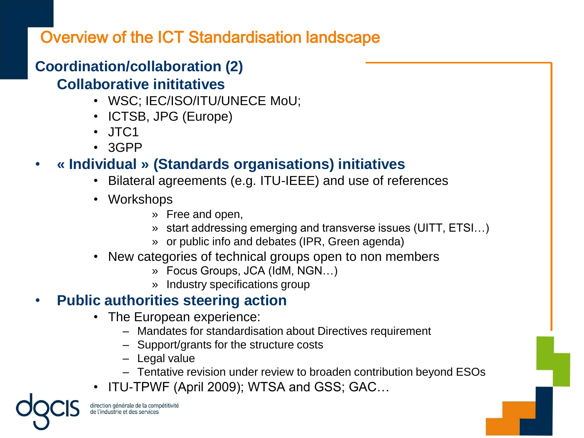### Overview of the ICT Standardisation landscape

# **Coordination/collaboration (2)**

#### **Collaborative inititatives**

- WSC; IEC/ISO/ITU/UNECE MoU;
- ICTSB, JPG (Europe)
- JTC1
- 3GPP

### • **« Individual » (Standards organisations) initiatives**

- Bilateral agreements (e.g. ITU-IEEE) and use of references
- Workshops
	- » Free and open,
	- » start addressing emerging and transverse issues (UITT, ETSI…)
	- » or public info and debates (IPR, Green agenda)
- New categories of technical groups open to non members
	- » Focus Groups, JCA (IdM, NGN…)
	- » Industry specifications group

### • **Public authorities steering action**

- The European experience:
	- Mandates for standardisation about Directives requirement
	- Support/grants for the structure costs
	- Legal value
	- Tentative revision under review to broaden contribution beyond ESOs
- ITU-TPWF (April 2009); WTSA and GSS; GAC…

direction générale de la compétitivité e l'industrie et des services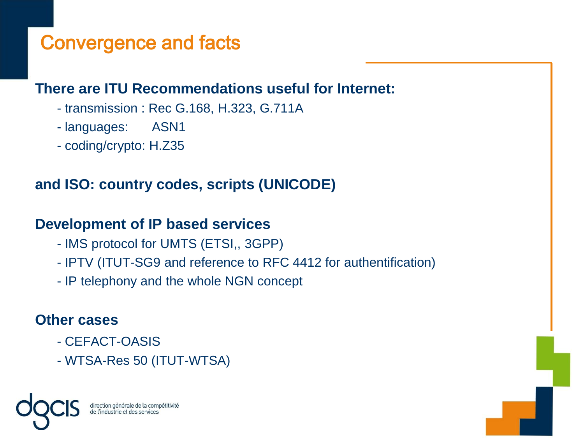# Convergence and facts

#### **There are ITU Recommendations useful for Internet:**

- transmission : Rec G.168, H.323, G.711A
- languages: ASN1
- coding/crypto: H.Z35

#### **and ISO: country codes, scripts (UNICODE)**

#### **Development of IP based services**

- IMS protocol for UMTS (ETSI,, 3GPP)
- IPTV (ITUT-SG9 and reference to RFC 4412 for authentification)
- IP telephony and the whole NGN concept

#### **Other cases**

- CEFACT-OASIS
- WTSA-Res 50 (ITUT-WTSA)

lirection générale de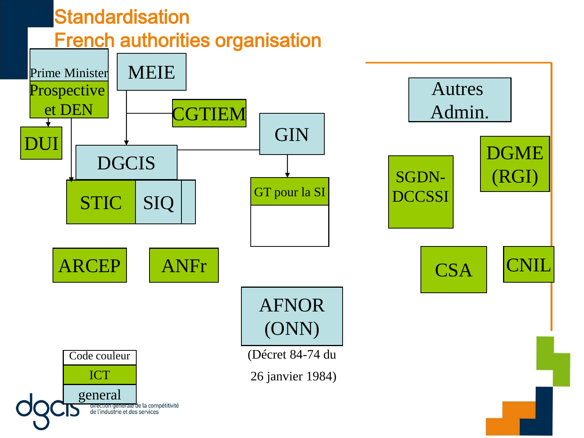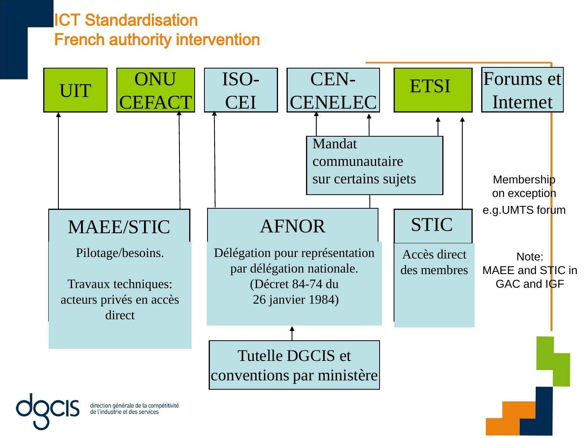### ICT Standardisation French authority intervention